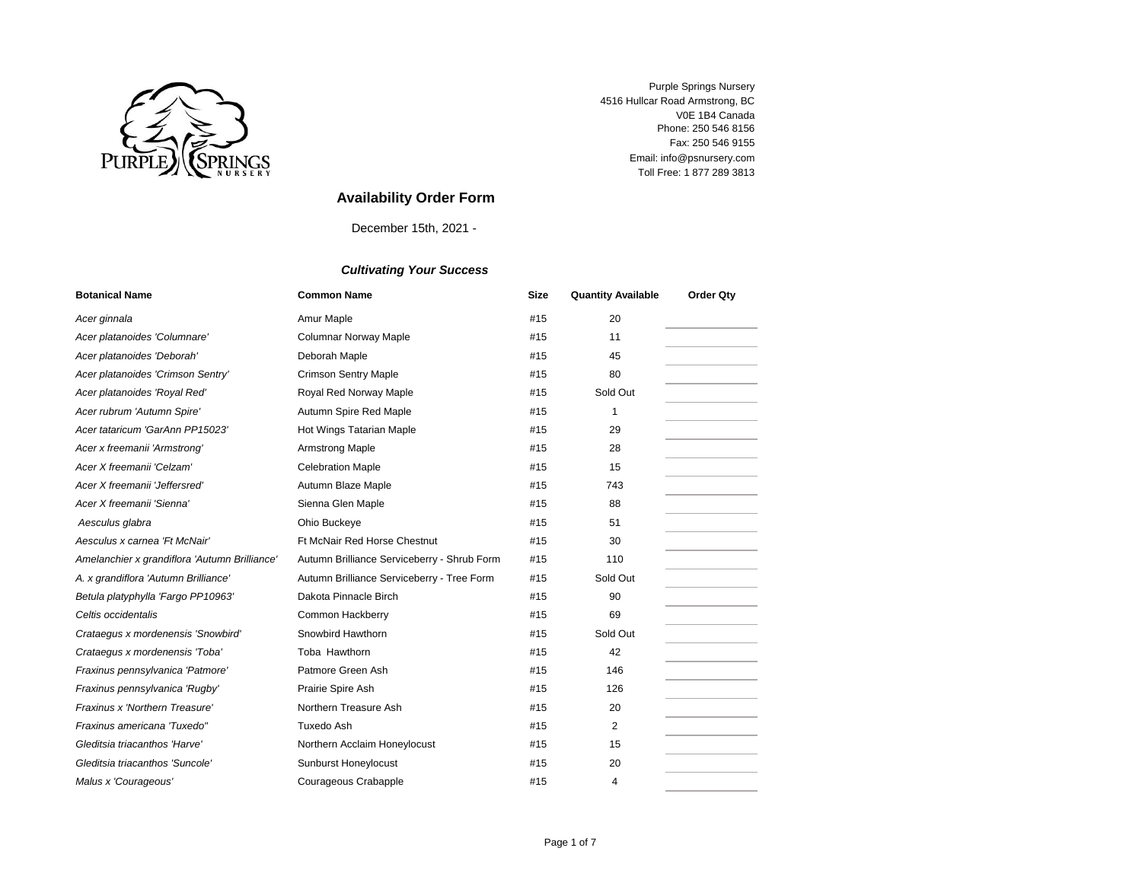

Toll Free: 1 877 289 3813 Email: info@psnursery.com V0E 1B4 Canada Fax: 250 546 9155 Phone: 250 546 8156 Purple Springs Nursery 4516 Hullcar Road Armstrong, BC

# **Availability Order Form**

December 15th, 2021 -

| <b>Botanical Name</b>                         | <b>Common Name</b>                          | <b>Size</b> | <b>Quantity Available</b> | <b>Order Qty</b> |
|-----------------------------------------------|---------------------------------------------|-------------|---------------------------|------------------|
| Acer ginnala                                  | Amur Maple                                  | #15         | 20                        |                  |
| Acer platanoides 'Columnare'                  | <b>Columnar Norway Maple</b>                | #15         | 11                        |                  |
| Acer platanoides 'Deborah'                    | Deborah Maple                               | #15         | 45                        |                  |
| Acer platanoides 'Crimson Sentry'             | <b>Crimson Sentry Maple</b>                 | #15         | 80                        |                  |
| Acer platanoides 'Royal Red'                  | Royal Red Norway Maple                      | #15         | Sold Out                  |                  |
| Acer rubrum 'Autumn Spire'                    | Autumn Spire Red Maple                      | #15         | 1                         |                  |
| Acer tataricum 'GarAnn PP15023'               | Hot Wings Tatarian Maple                    | #15         | 29                        |                  |
| Acer x freemanii 'Armstrong'                  | <b>Armstrong Maple</b>                      | #15         | 28                        |                  |
| Acer X freemanii 'Celzam'                     | <b>Celebration Maple</b>                    | #15         | 15                        |                  |
| Acer X freemanii 'Jeffersred'                 | Autumn Blaze Maple                          | #15         | 743                       |                  |
| Acer X freemanii 'Sienna'                     | Sienna Glen Maple                           | #15         | 88                        |                  |
| Aesculus glabra                               | Ohio Buckeye                                | #15         | 51                        |                  |
| Aesculus x carnea 'Ft McNair'                 | <b>Ft McNair Red Horse Chestnut</b>         | #15         | 30                        |                  |
| Amelanchier x grandiflora 'Autumn Brilliance' | Autumn Brilliance Serviceberry - Shrub Form | #15         | 110                       |                  |
| A. x grandiflora 'Autumn Brilliance'          | Autumn Brilliance Serviceberry - Tree Form  | #15         | Sold Out                  |                  |
| Betula platyphylla 'Fargo PP10963'            | Dakota Pinnacle Birch                       | #15         | 90                        |                  |
| Celtis occidentalis                           | Common Hackberry                            | #15         | 69                        |                  |
| Crataegus x mordenensis 'Snowbird'            | Snowbird Hawthorn                           | #15         | Sold Out                  |                  |
| Crataequs x mordenensis 'Toba'                | Toba Hawthorn                               | #15         | 42                        |                  |
| Fraxinus pennsylvanica 'Patmore'              | Patmore Green Ash                           | #15         | 146                       |                  |
| Fraxinus pennsylvanica 'Rugby'                | Prairie Spire Ash                           | #15         | 126                       |                  |
| Fraxinus x 'Northern Treasure'                | Northern Treasure Ash                       | #15         | 20                        |                  |
| Fraxinus americana 'Tuxedo"                   | Tuxedo Ash                                  | #15         | 2                         |                  |
| Gleditsia triacanthos 'Harve'                 | Northern Acclaim Honeylocust                | #15         | 15                        |                  |
| Gleditsia triacanthos 'Suncole'               | <b>Sunburst Honeylocust</b>                 | #15         | 20                        |                  |
| Malus x 'Courageous'                          | Courageous Crabapple                        | #15         | 4                         |                  |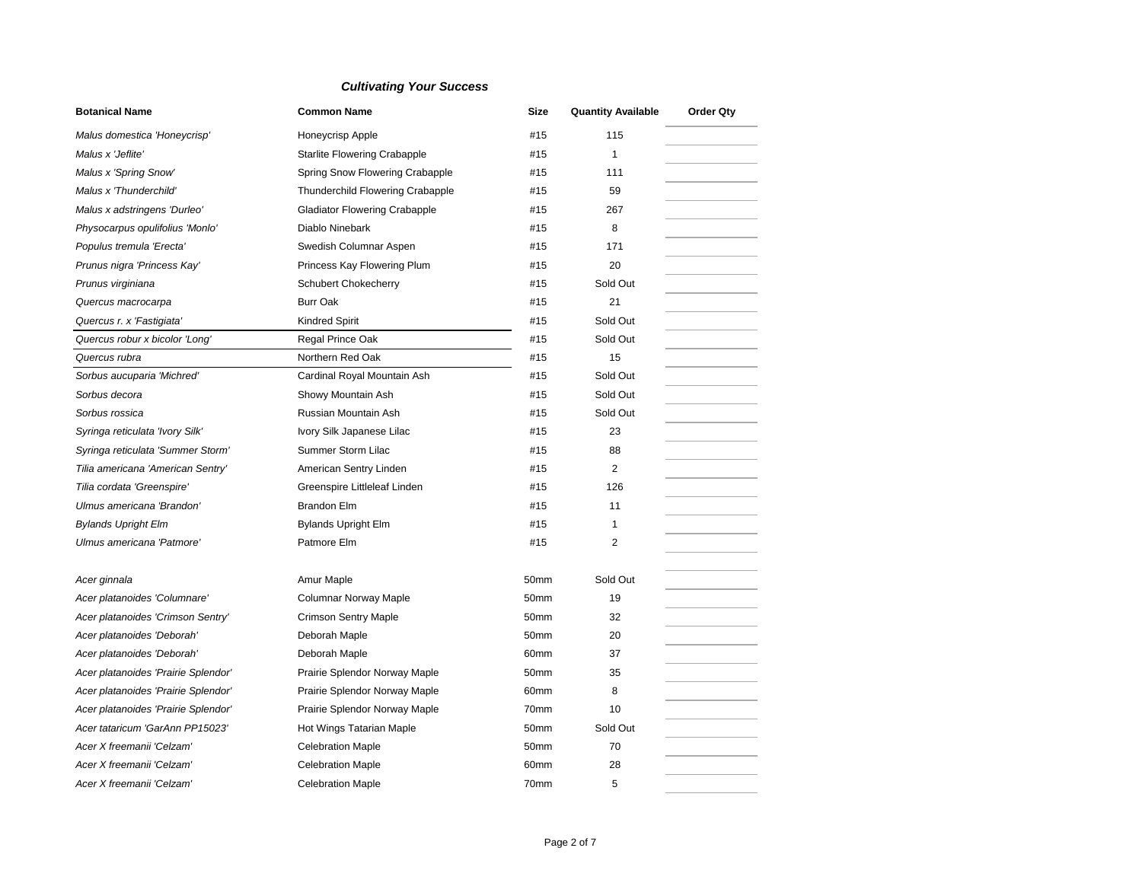| <b>Botanical Name</b>               | <b>Common Name</b>                   | Size             | <b>Quantity Available</b> | <b>Order Qty</b> |
|-------------------------------------|--------------------------------------|------------------|---------------------------|------------------|
| Malus domestica 'Honeycrisp'        | Honeycrisp Apple                     | #15              | 115                       |                  |
| Malus x 'Jeflite'                   | <b>Starlite Flowering Crabapple</b>  | #15              | $\mathbf{1}$              |                  |
| Malus x 'Spring Snow'               | Spring Snow Flowering Crabapple      | #15              | 111                       |                  |
| Malus x 'Thunderchild'              | Thunderchild Flowering Crabapple     | #15              | 59                        |                  |
| Malus x adstringens 'Durleo'        | <b>Gladiator Flowering Crabapple</b> | #15              | 267                       |                  |
| Physocarpus opulifolius 'Monlo'     | Diablo Ninebark                      | #15              | 8                         |                  |
| Populus tremula 'Erecta'            | Swedish Columnar Aspen               | #15              | 171                       |                  |
| Prunus nigra 'Princess Kay'         | Princess Kay Flowering Plum          | #15              | 20                        |                  |
| Prunus virginiana                   | Schubert Chokecherry                 | #15              | Sold Out                  |                  |
| Quercus macrocarpa                  | <b>Burr Oak</b>                      | #15              | 21                        |                  |
| Quercus r. x 'Fastigiata'           | <b>Kindred Spirit</b>                | #15              | Sold Out                  |                  |
| Quercus robur x bicolor 'Long'      | Regal Prince Oak                     | #15              | Sold Out                  |                  |
| Quercus rubra                       | Northern Red Oak                     | #15              | 15                        |                  |
| Sorbus aucuparia 'Michred'          | Cardinal Royal Mountain Ash          | #15              | Sold Out                  |                  |
| Sorbus decora                       | Showy Mountain Ash                   | #15              | Sold Out                  |                  |
| Sorbus rossica                      | Russian Mountain Ash                 | #15              | Sold Out                  |                  |
| Syringa reticulata 'Ivory Silk'     | Ivory Silk Japanese Lilac            | #15              | 23                        |                  |
| Syringa reticulata 'Summer Storm'   | Summer Storm Lilac                   | #15              | 88                        |                  |
| Tilia americana 'American Sentry'   | American Sentry Linden               | #15              | 2                         |                  |
| Tilia cordata 'Greenspire'          | Greenspire Littleleaf Linden         | #15              | 126                       |                  |
| Ulmus americana 'Brandon'           | <b>Brandon Elm</b>                   | #15              | 11                        |                  |
| <b>Bylands Upright Elm</b>          | <b>Bylands Upright Elm</b>           | #15              | 1                         |                  |
| Ulmus americana 'Patmore'           | Patmore Elm                          | #15              | 2                         |                  |
| Acer ginnala                        | Amur Maple                           | 50mm             | Sold Out                  |                  |
| Acer platanoides 'Columnare'        | <b>Columnar Norway Maple</b>         | 50mm             | 19                        |                  |
| Acer platanoides 'Crimson Sentry'   | <b>Crimson Sentry Maple</b>          | 50mm             | 32                        |                  |
| Acer platanoides 'Deborah'          | Deborah Maple                        | 50mm             | 20                        |                  |
| Acer platanoides 'Deborah'          | Deborah Maple                        | 60mm             | 37                        |                  |
| Acer platanoides 'Prairie Splendor' | Prairie Splendor Norway Maple        | 50mm             | 35                        |                  |
| Acer platanoides 'Prairie Splendor' | Prairie Splendor Norway Maple        | 60 <sub>mm</sub> | 8                         |                  |
| Acer platanoides 'Prairie Splendor' | Prairie Splendor Norway Maple        | 70mm             | 10                        |                  |
| Acer tataricum 'GarAnn PP15023'     | Hot Wings Tatarian Maple             | 50mm             | Sold Out                  |                  |
| Acer X freemanii 'Celzam'           | <b>Celebration Maple</b>             | 50mm             | 70                        |                  |
| Acer X freemanii 'Celzam'           | <b>Celebration Maple</b>             | 60 <sub>mm</sub> | 28                        |                  |
| Acer X freemanii 'Celzam'           | <b>Celebration Maple</b>             | 70mm             | 5                         |                  |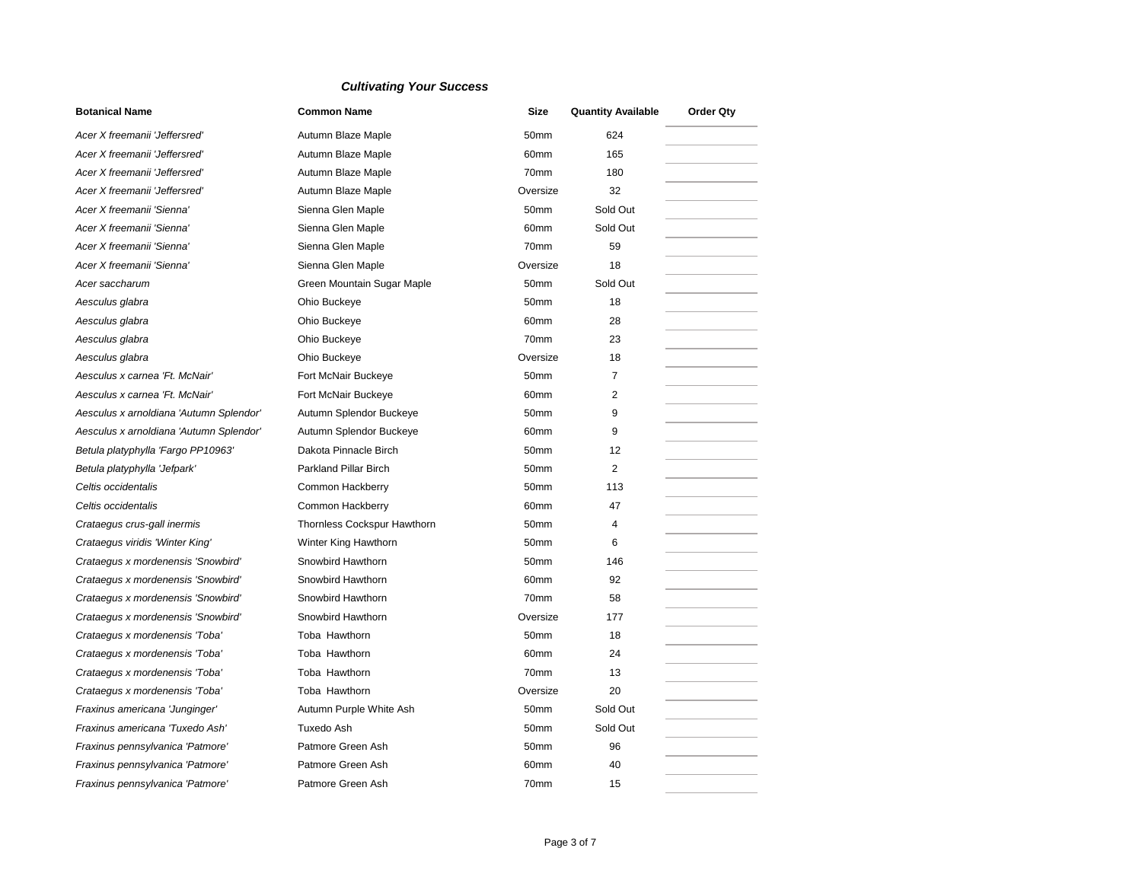| <b>Botanical Name</b>                   | <b>Common Name</b>          | Size             | <b>Quantity Available</b> | <b>Order Qty</b> |
|-----------------------------------------|-----------------------------|------------------|---------------------------|------------------|
| Acer X freemanii 'Jeffersred'           | Autumn Blaze Maple          | 50mm             | 624                       |                  |
| Acer X freemanii 'Jeffersred'           | Autumn Blaze Maple          | 60mm             | 165                       |                  |
| Acer X freemanii 'Jeffersred'           | Autumn Blaze Maple          | 70mm             | 180                       |                  |
| Acer X freemanii 'Jeffersred'           | Autumn Blaze Maple          | Oversize         | 32                        |                  |
| Acer X freemanii 'Sienna'               | Sienna Glen Maple           | 50mm             | Sold Out                  |                  |
| Acer X freemanii 'Sienna'               | Sienna Glen Maple           | 60mm             | Sold Out                  |                  |
| Acer X freemanii 'Sienna'               | Sienna Glen Maple           | 70mm             | 59                        |                  |
| Acer X freemanii 'Sienna'               | Sienna Glen Maple           | Oversize         | 18                        |                  |
| Acer saccharum                          | Green Mountain Sugar Maple  | 50mm             | Sold Out                  |                  |
| Aesculus glabra                         | Ohio Buckeye                | 50mm             | 18                        |                  |
| Aesculus glabra                         | Ohio Buckeye                | 60 <sub>mm</sub> | 28                        |                  |
| Aesculus glabra                         | Ohio Buckeye                | 70mm             | 23                        |                  |
| Aesculus glabra                         | Ohio Buckeye                | Oversize         | 18                        |                  |
| Aesculus x carnea 'Ft. McNair'          | Fort McNair Buckeye         | 50mm             | 7                         |                  |
| Aesculus x carnea 'Ft. McNair'          | Fort McNair Buckeye         | 60mm             | 2                         |                  |
| Aesculus x arnoldiana 'Autumn Splendor' | Autumn Splendor Buckeye     | 50mm             | 9                         |                  |
| Aesculus x arnoldiana 'Autumn Splendor' | Autumn Splendor Buckeye     | 60mm             | 9                         |                  |
| Betula platyphylla 'Fargo PP10963'      | Dakota Pinnacle Birch       | 50mm             | 12                        |                  |
| Betula platyphylla 'Jefpark'            | Parkland Pillar Birch       | 50mm             | $\overline{2}$            |                  |
| Celtis occidentalis                     | Common Hackberry            | 50mm             | 113                       |                  |
| Celtis occidentalis                     | Common Hackberry            | 60mm             | 47                        |                  |
| Crataegus crus-gall inermis             | Thornless Cockspur Hawthorn | 50 <sub>mm</sub> | 4                         |                  |
| Crataegus viridis 'Winter King'         | Winter King Hawthorn        | 50mm             | 6                         |                  |
| Crataegus x mordenensis 'Snowbird'      | Snowbird Hawthorn           | 50mm             | 146                       |                  |
| Crataegus x mordenensis 'Snowbird'      | Snowbird Hawthorn           | 60mm             | 92                        |                  |
| Crataegus x mordenensis 'Snowbird'      | Snowbird Hawthorn           | 70mm             | 58                        |                  |
| Crataegus x mordenensis 'Snowbird'      | Snowbird Hawthorn           | Oversize         | 177                       |                  |
| Crataegus x mordenensis 'Toba'          | Toba Hawthorn               | 50mm             | 18                        |                  |
| Crataegus x mordenensis 'Toba'          | Toba Hawthorn               | 60mm             | 24                        |                  |
| Crataegus x mordenensis 'Toba'          | Toba Hawthorn               | 70mm             | 13                        |                  |
| Crataegus x mordenensis 'Toba'          | Toba Hawthorn               | Oversize         | 20                        |                  |
| Fraxinus americana 'Junginger'          | Autumn Purple White Ash     | 50mm             | Sold Out                  |                  |
| Fraxinus americana 'Tuxedo Ash'         | Tuxedo Ash                  | 50 <sub>mm</sub> | Sold Out                  |                  |
| Fraxinus pennsylvanica 'Patmore'        | Patmore Green Ash           | 50 <sub>mm</sub> | 96                        |                  |
| Fraxinus pennsylvanica 'Patmore'        | Patmore Green Ash           | 60 <sub>mm</sub> | 40                        |                  |
| Fraxinus pennsylvanica 'Patmore'        | Patmore Green Ash           | 70mm             | 15                        |                  |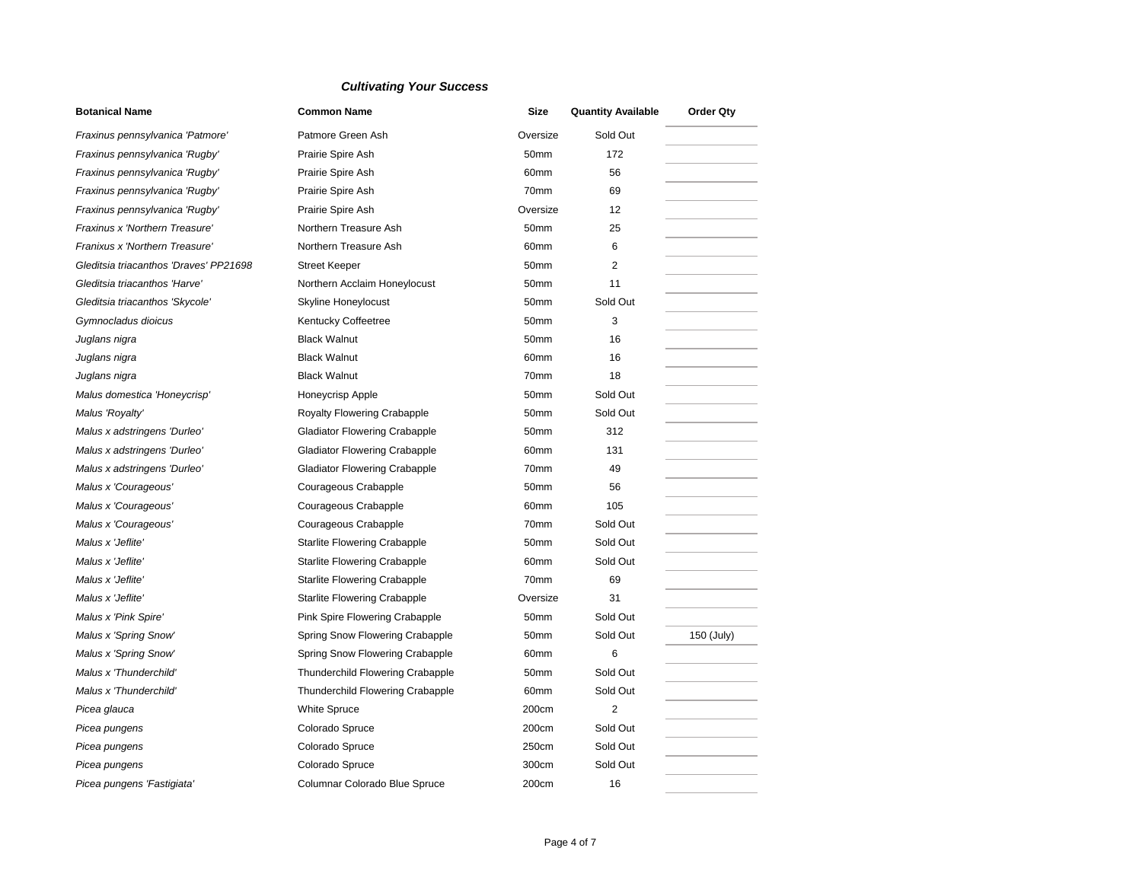| <b>Botanical Name</b>                  | <b>Common Name</b>                      | Size             | <b>Quantity Available</b> | <b>Order Qty</b> |
|----------------------------------------|-----------------------------------------|------------------|---------------------------|------------------|
| Fraxinus pennsylvanica 'Patmore'       | Patmore Green Ash                       | Oversize         | Sold Out                  |                  |
| Fraxinus pennsylvanica 'Rugby'         | Prairie Spire Ash                       | 50 <sub>mm</sub> | 172                       |                  |
| Fraxinus pennsylvanica 'Rugby'         | Prairie Spire Ash                       | 60 <sub>mm</sub> | 56                        |                  |
| Fraxinus pennsylvanica 'Rugby'         | Prairie Spire Ash                       | 70mm             | 69                        |                  |
| Fraxinus pennsylvanica 'Rugby'         | Prairie Spire Ash                       | Oversize         | 12                        |                  |
| Fraxinus x 'Northern Treasure'         | Northern Treasure Ash                   | 50mm             | 25                        |                  |
| Franixus x 'Northern Treasure'         | Northern Treasure Ash                   | 60mm             | 6                         |                  |
| Gleditsia triacanthos 'Draves' PP21698 | <b>Street Keeper</b>                    | 50mm             | 2                         |                  |
| Gleditsia triacanthos 'Harve'          | Northern Acclaim Honeylocust            | 50mm             | 11                        |                  |
| Gleditsia triacanthos 'Skycole'        | Skyline Honeylocust                     | 50 <sub>mm</sub> | Sold Out                  |                  |
| Gymnocladus dioicus                    | Kentucky Coffeetree                     | 50 <sub>mm</sub> | 3                         |                  |
| Juglans nigra                          | <b>Black Walnut</b>                     | 50 <sub>mm</sub> | 16                        |                  |
| Juglans nigra                          | <b>Black Walnut</b>                     | 60 <sub>mm</sub> | 16                        |                  |
| Juglans nigra                          | <b>Black Walnut</b>                     | 70mm             | 18                        |                  |
| Malus domestica 'Honeycrisp'           | Honeycrisp Apple                        | 50 <sub>mm</sub> | Sold Out                  |                  |
| Malus 'Royalty'                        | <b>Royalty Flowering Crabapple</b>      | 50mm             | Sold Out                  |                  |
| Malus x adstringens 'Durleo'           | <b>Gladiator Flowering Crabapple</b>    | 50mm             | 312                       |                  |
| Malus x adstringens 'Durleo'           | <b>Gladiator Flowering Crabapple</b>    | 60mm             | 131                       |                  |
| Malus x adstringens 'Durleo'           | <b>Gladiator Flowering Crabapple</b>    | 70mm             | 49                        |                  |
| Malus x 'Courageous'                   | Courageous Crabapple                    | 50mm             | 56                        |                  |
| Malus x 'Courageous'                   | Courageous Crabapple                    | 60mm             | 105                       |                  |
| Malus x 'Courageous'                   | Courageous Crabapple                    | 70mm             | Sold Out                  |                  |
| Malus x 'Jeflite'                      | <b>Starlite Flowering Crabapple</b>     | 50mm             | Sold Out                  |                  |
| Malus x 'Jeflite'                      | <b>Starlite Flowering Crabapple</b>     | 60mm             | Sold Out                  |                  |
| Malus x 'Jeflite'                      | <b>Starlite Flowering Crabapple</b>     | 70mm             | 69                        |                  |
| Malus x 'Jeflite'                      | <b>Starlite Flowering Crabapple</b>     | Oversize         | 31                        |                  |
| Malus x 'Pink Spire'                   | Pink Spire Flowering Crabapple          | 50mm             | Sold Out                  |                  |
| Malus x 'Spring Snow'                  | Spring Snow Flowering Crabapple         | 50 <sub>mm</sub> | Sold Out                  | 150 (July)       |
| Malus x 'Spring Snow'                  | Spring Snow Flowering Crabapple         | 60 <sub>mm</sub> | 6                         |                  |
| Malus x 'Thunderchild'                 | <b>Thunderchild Flowering Crabapple</b> | 50 <sub>mm</sub> | Sold Out                  |                  |
| Malus x 'Thunderchild'                 | <b>Thunderchild Flowering Crabapple</b> | 60mm             | Sold Out                  |                  |
| Picea glauca                           | <b>White Spruce</b>                     | 200cm            | 2                         |                  |
| Picea pungens                          | Colorado Spruce                         | 200cm            | Sold Out                  |                  |
| Picea pungens                          | Colorado Spruce                         | 250cm            | Sold Out                  |                  |
| Picea pungens                          | Colorado Spruce                         | 300cm            | Sold Out                  |                  |
| Picea pungens 'Fastigiata'             | Columnar Colorado Blue Spruce           | 200cm            | 16                        |                  |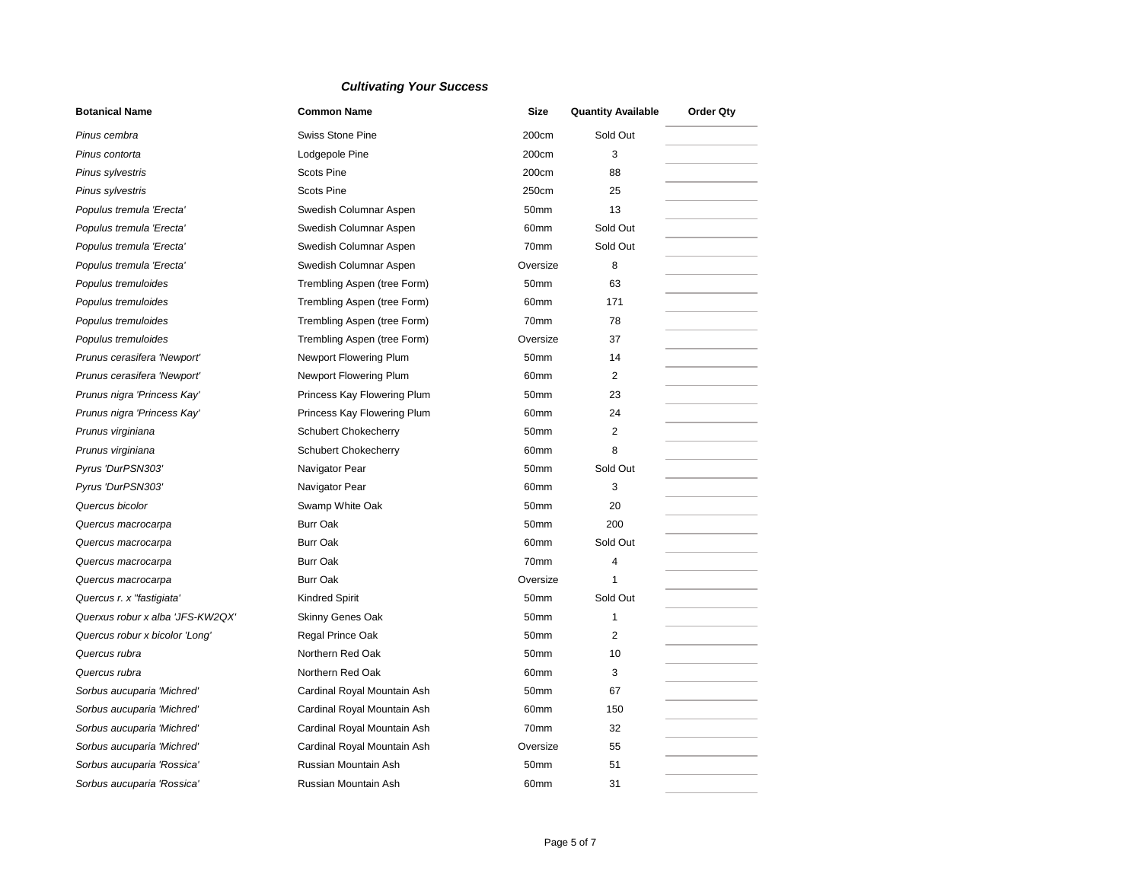| <b>Botanical Name</b>            | <b>Common Name</b>            | <b>Size</b>      | <b>Quantity Available</b> | <b>Order Qty</b> |
|----------------------------------|-------------------------------|------------------|---------------------------|------------------|
| Pinus cembra                     | Swiss Stone Pine              | 200cm            | Sold Out                  |                  |
| Pinus contorta                   | Lodgepole Pine                | 200cm            | 3                         |                  |
| Pinus sylvestris                 | <b>Scots Pine</b>             | 200cm            | 88                        |                  |
| Pinus sylvestris                 | <b>Scots Pine</b>             | 250cm            | 25                        |                  |
| Populus tremula 'Erecta'         | Swedish Columnar Aspen        | 50mm             | 13                        |                  |
| Populus tremula 'Erecta'         | Swedish Columnar Aspen        | 60 <sub>mm</sub> | Sold Out                  |                  |
| Populus tremula 'Erecta'         | Swedish Columnar Aspen        | 70mm             | Sold Out                  |                  |
| Populus tremula 'Erecta'         | Swedish Columnar Aspen        | Oversize         | 8                         |                  |
| Populus tremuloides              | Trembling Aspen (tree Form)   | 50mm             | 63                        |                  |
| Populus tremuloides              | Trembling Aspen (tree Form)   | 60mm             | 171                       |                  |
| Populus tremuloides              | Trembling Aspen (tree Form)   | 70mm             | 78                        |                  |
| Populus tremuloides              | Trembling Aspen (tree Form)   | Oversize         | 37                        |                  |
| Prunus cerasifera 'Newport'      | Newport Flowering Plum        | 50mm             | 14                        |                  |
| Prunus cerasifera 'Newport'      | <b>Newport Flowering Plum</b> | 60mm             | 2                         |                  |
| Prunus nigra 'Princess Kay'      | Princess Kay Flowering Plum   | 50mm             | 23                        |                  |
| Prunus nigra 'Princess Kay'      | Princess Kay Flowering Plum   | 60mm             | 24                        |                  |
| Prunus virginiana                | <b>Schubert Chokecherry</b>   | 50mm             | $\overline{2}$            |                  |
| Prunus virginiana                | <b>Schubert Chokecherry</b>   | 60mm             | 8                         |                  |
| Pyrus 'DurPSN303'                | Navigator Pear                | 50mm             | Sold Out                  |                  |
| Pyrus 'DurPSN303'                | Navigator Pear                | 60mm             | 3                         |                  |
| Quercus bicolor                  | Swamp White Oak               | 50mm             | 20                        |                  |
| Quercus macrocarpa               | <b>Burr Oak</b>               | 50 <sub>mm</sub> | 200                       |                  |
| Quercus macrocarpa               | <b>Burr Oak</b>               | 60mm             | Sold Out                  |                  |
| Quercus macrocarpa               | <b>Burr Oak</b>               | 70mm             | 4                         |                  |
| Quercus macrocarpa               | <b>Burr Oak</b>               | Oversize         | $\mathbf{1}$              |                  |
| Quercus r. x "fastigiata"        | <b>Kindred Spirit</b>         | 50mm             | Sold Out                  |                  |
| Querxus robur x alba 'JFS-KW2QX' | Skinny Genes Oak              | 50mm             | $\mathbf{1}$              |                  |
| Quercus robur x bicolor 'Long'   | Regal Prince Oak              | 50mm             | $\overline{2}$            |                  |
| Quercus rubra                    | Northern Red Oak              | 50mm             | 10                        |                  |
| Quercus rubra                    | Northern Red Oak              | 60mm             | 3                         |                  |
| Sorbus aucuparia 'Michred'       | Cardinal Royal Mountain Ash   | 50mm             | 67                        |                  |
| Sorbus aucuparia 'Michred'       | Cardinal Royal Mountain Ash   | 60mm             | 150                       |                  |
| Sorbus aucuparia 'Michred'       | Cardinal Royal Mountain Ash   | 70mm             | 32                        |                  |
| Sorbus aucuparia 'Michred'       | Cardinal Royal Mountain Ash   | Oversize         | 55                        |                  |
| Sorbus aucuparia 'Rossica'       | Russian Mountain Ash          | 50mm             | 51                        |                  |
| Sorbus aucuparia 'Rossica'       | Russian Mountain Ash          | 60mm             | 31                        |                  |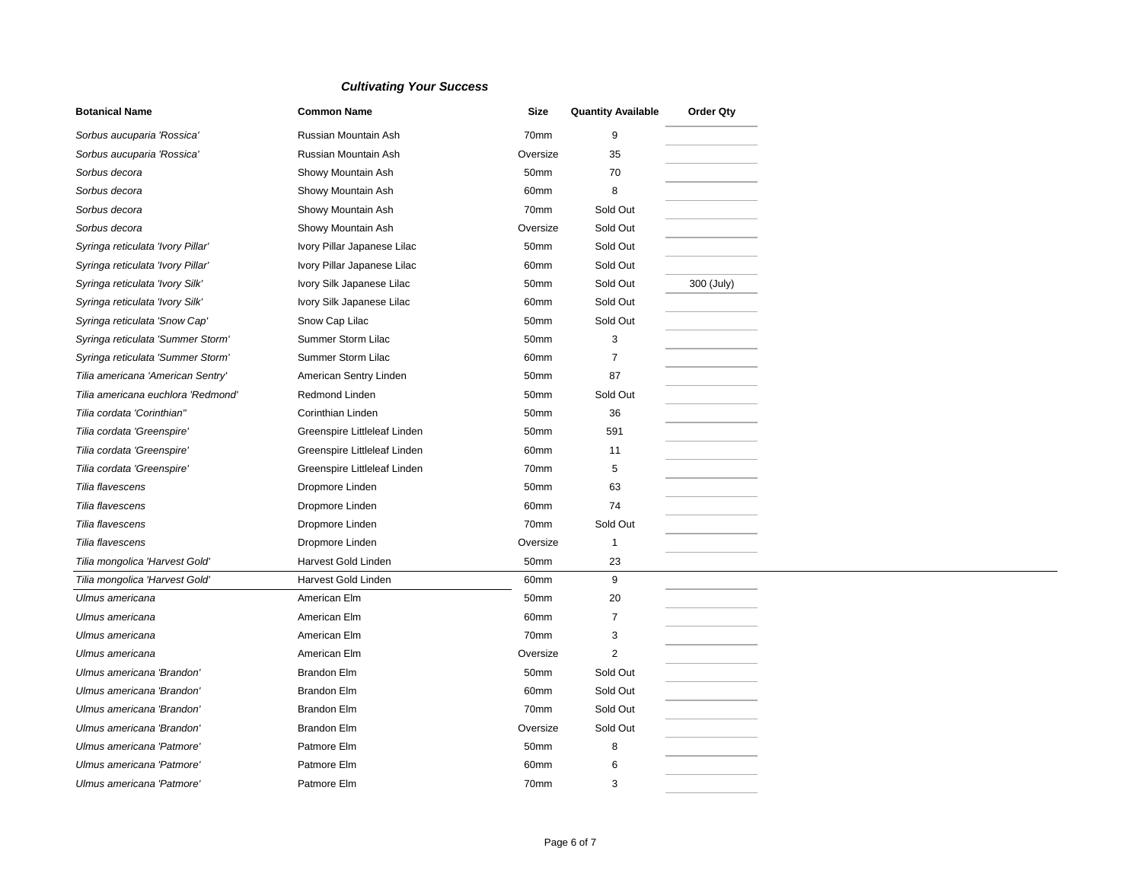| <b>Botanical Name</b>              | <b>Common Name</b>           | <b>Size</b> | <b>Quantity Available</b> | <b>Order Qty</b> |
|------------------------------------|------------------------------|-------------|---------------------------|------------------|
| Sorbus aucuparia 'Rossica'         | Russian Mountain Ash         | 70mm        | 9                         |                  |
| Sorbus aucuparia 'Rossica'         | Russian Mountain Ash         | Oversize    | 35                        |                  |
| Sorbus decora                      | Showy Mountain Ash           | 50mm        | 70                        |                  |
| Sorbus decora                      | Showy Mountain Ash           | 60mm        | 8                         |                  |
| Sorbus decora                      | Showy Mountain Ash           | 70mm        | Sold Out                  |                  |
| Sorbus decora                      | Showy Mountain Ash           | Oversize    | Sold Out                  |                  |
| Syringa reticulata 'Ivory Pillar'  | Ivory Pillar Japanese Lilac  | 50mm        | Sold Out                  |                  |
| Syringa reticulata 'Ivory Pillar'  | Ivory Pillar Japanese Lilac  | 60mm        | Sold Out                  |                  |
| Syringa reticulata 'Ivory Silk'    | Ivory Silk Japanese Lilac    | 50mm        | Sold Out                  | 300 (July)       |
| Syringa reticulata 'Ivory Silk'    | Ivory Silk Japanese Lilac    | 60mm        | Sold Out                  |                  |
| Syringa reticulata 'Snow Cap'      | Snow Cap Lilac               | 50mm        | Sold Out                  |                  |
| Syringa reticulata 'Summer Storm'  | Summer Storm Lilac           | 50mm        | 3                         |                  |
| Syringa reticulata 'Summer Storm'  | Summer Storm Lilac           | 60mm        | 7                         |                  |
| Tilia americana 'American Sentry'  | American Sentry Linden       | 50mm        | 87                        |                  |
| Tilia americana euchlora 'Redmond' | <b>Redmond Linden</b>        | 50mm        | Sold Out                  |                  |
| Tilia cordata 'Corinthian"         | Corinthian Linden            | 50mm        | 36                        |                  |
| Tilia cordata 'Greenspire'         | Greenspire Littleleaf Linden | 50mm        | 591                       |                  |
| Tilia cordata 'Greenspire'         | Greenspire Littleleaf Linden | 60mm        | 11                        |                  |
| Tilia cordata 'Greenspire'         | Greenspire Littleleaf Linden | 70mm        | 5                         |                  |
| Tilia flavescens                   | Dropmore Linden              | 50mm        | 63                        |                  |
| Tilia flavescens                   | Dropmore Linden              | 60mm        | 74                        |                  |
| Tilia flavescens                   | Dropmore Linden              | 70mm        | Sold Out                  |                  |
| Tilia flavescens                   | Dropmore Linden              | Oversize    | 1                         |                  |
| Tilia mongolica 'Harvest Gold'     | Harvest Gold Linden          | 50mm        | 23                        |                  |
| Tilia mongolica 'Harvest Gold'     | Harvest Gold Linden          | 60mm        | 9                         |                  |
| Ulmus americana                    | American Elm                 | 50mm        | 20                        |                  |
| Ulmus americana                    | American Elm                 | 60mm        | $\overline{7}$            |                  |
| Ulmus americana                    | American Elm                 | 70mm        | 3                         |                  |
| Ulmus americana                    | American Elm                 | Oversize    | 2                         |                  |
| Ulmus americana 'Brandon'          | <b>Brandon Elm</b>           | 50mm        | Sold Out                  |                  |
| Ulmus americana 'Brandon'          | <b>Brandon Elm</b>           | 60mm        | Sold Out                  |                  |
| Ulmus americana 'Brandon'          | <b>Brandon Elm</b>           | 70mm        | Sold Out                  |                  |
| Ulmus americana 'Brandon'          | <b>Brandon Elm</b>           | Oversize    | Sold Out                  |                  |
| Ulmus americana 'Patmore'          | Patmore Elm                  | 50mm        | 8                         |                  |
| Ulmus americana 'Patmore'          | Patmore Elm                  | 60mm        | 6                         |                  |
| Ulmus americana 'Patmore'          | Patmore Elm                  | 70mm        | 3                         |                  |